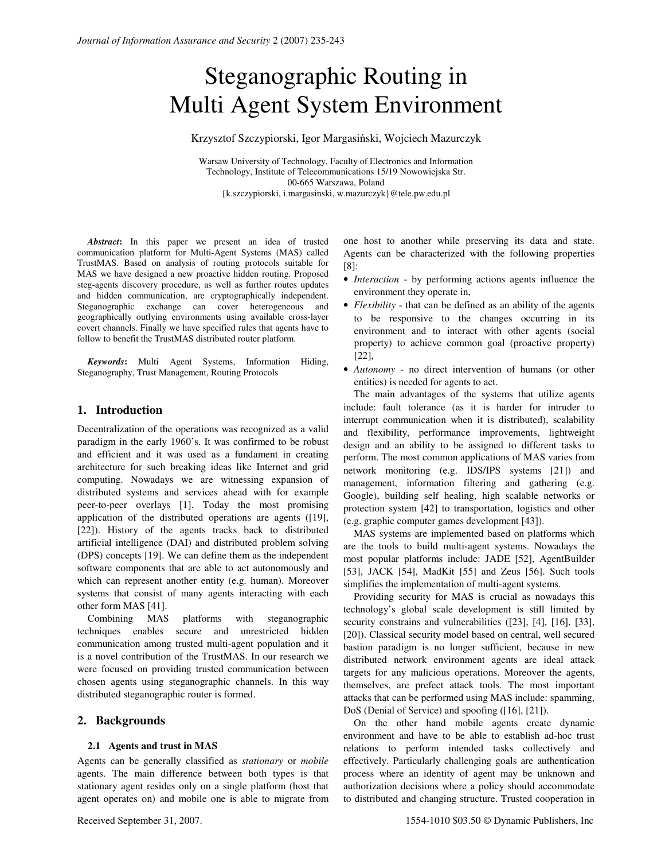# Steganographic Routing in Multi Agent System Environment

Krzysztof Szczypiorski, Igor Margasiński, Wojciech Mazurczyk

Warsaw University of Technology, Faculty of Electronics and Information Technology, Institute of Telecommunications 15/19 Nowowiejska Str. 00-665 Warszawa, Poland {k.szczypiorski, i.margasinski, w.mazurczyk}@tele.pw.edu.pl

*Abstract***:** In this paper we present an idea of trusted communication platform for Multi-Agent Systems (MAS) called TrustMAS. Based on analysis of routing protocols suitable for MAS we have designed a new proactive hidden routing. Proposed steg-agents discovery procedure, as well as further routes updates and hidden communication, are cryptographically independent. Steganographic exchange can cover heterogeneous and geographically outlying environments using available cross-layer covert channels. Finally we have specified rules that agents have to follow to benefit the TrustMAS distributed router platform.

*Keywords***:** Multi Agent Systems, Information Hiding, Steganography, Trust Management, Routing Protocols

# **1. Introduction**

Decentralization of the operations was recognized as a valid paradigm in the early 1960's. It was confirmed to be robust and efficient and it was used as a fundament in creating architecture for such breaking ideas like Internet and grid computing. Nowadays we are witnessing expansion of distributed systems and services ahead with for example peer-to-peer overlays [1]. Today the most promising application of the distributed operations are agents ([19], [22]). History of the agents tracks back to distributed artificial intelligence (DAI) and distributed problem solving (DPS) concepts [19]. We can define them as the independent software components that are able to act autonomously and which can represent another entity (e.g. human). Moreover systems that consist of many agents interacting with each other form MAS [41].

Combining MAS platforms with steganographic techniques enables secure and unrestricted hidden communication among trusted multi-agent population and it is a novel contribution of the TrustMAS. In our research we were focused on providing trusted communication between chosen agents using steganographic channels. In this way distributed steganographic router is formed.

## **2. Backgrounds**

#### **2.1 Agents and trust in MAS**

Agents can be generally classified as *stationary* or *mobile* agents. The main difference between both types is that stationary agent resides only on a single platform (host that agent operates on) and mobile one is able to migrate from

one host to another while preserving its data and state. Agents can be characterized with the following properties [8]:

- *Interaction* by performing actions agents influence the environment they operate in,
- *Flexibility* that can be defined as an ability of the agents to be responsive to the changes occurring in its environment and to interact with other agents (social property) to achieve common goal (proactive property) [22],
- *Autonomy* no direct intervention of humans (or other entities) is needed for agents to act.

The main advantages of the systems that utilize agents include: fault tolerance (as it is harder for intruder to interrupt communication when it is distributed), scalability and flexibility, performance improvements, lightweight design and an ability to be assigned to different tasks to perform. The most common applications of MAS varies from network monitoring (e.g. IDS/IPS systems [21]) and management, information filtering and gathering (e.g. Google), building self healing, high scalable networks or protection system [42] to transportation, logistics and other (e.g. graphic computer games development [43]).

MAS systems are implemented based on platforms which are the tools to build multi-agent systems. Nowadays the most popular platforms include: JADE [52], AgentBuilder [53], JACK [54], MadKit [55] and Zeus [56]. Such tools simplifies the implementation of multi-agent systems.

Providing security for MAS is crucial as nowadays this technology's global scale development is still limited by security constrains and vulnerabilities ([23], [4], [16], [33], [20]). Classical security model based on central, well secured bastion paradigm is no longer sufficient, because in new distributed network environment agents are ideal attack targets for any malicious operations. Moreover the agents, themselves, are prefect attack tools. The most important attacks that can be performed using MAS include: spamming, DoS (Denial of Service) and spoofing ([16], [21]).

On the other hand mobile agents create dynamic environment and have to be able to establish ad-hoc trust relations to perform intended tasks collectively and effectively. Particularly challenging goals are authentication process where an identity of agent may be unknown and authorization decisions where a policy should accommodate to distributed and changing structure. Trusted cooperation in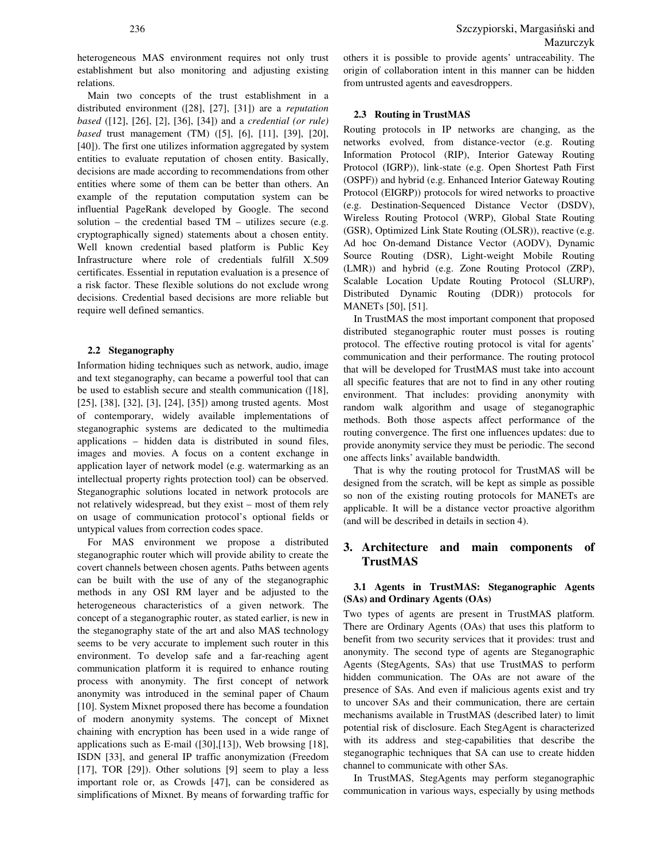heterogeneous MAS environment requires not only trust establishment but also monitoring and adjusting existing relations.

Main two concepts of the trust establishment in a distributed environment ([28], [27], [31]) are a *reputation based* ([12], [26], [2], [36], [34]) and a *credential (or rule) based* trust management (TM) ([5], [6], [11], [39], [20], [40]). The first one utilizes information aggregated by system entities to evaluate reputation of chosen entity. Basically, decisions are made according to recommendations from other entities where some of them can be better than others. An example of the reputation computation system can be influential PageRank developed by Google. The second solution – the credential based  $TM$  – utilizes secure (e.g. cryptographically signed) statements about a chosen entity. Well known credential based platform is Public Key Infrastructure where role of credentials fulfill X.509 certificates. Essential in reputation evaluation is a presence of a risk factor. These flexible solutions do not exclude wrong decisions. Credential based decisions are more reliable but require well defined semantics.

#### **2.2 Steganography**

Information hiding techniques such as network, audio, image and text steganography, can became a powerful tool that can be used to establish secure and stealth communication ([18], [25], [38], [32], [3], [24], [35]) among trusted agents. Most of contemporary, widely available implementations of steganographic systems are dedicated to the multimedia applications – hidden data is distributed in sound files, images and movies. A focus on a content exchange in application layer of network model (e.g. watermarking as an intellectual property rights protection tool) can be observed. Steganographic solutions located in network protocols are not relatively widespread, but they exist – most of them rely on usage of communication protocol's optional fields or untypical values from correction codes space.

For MAS environment we propose a distributed steganographic router which will provide ability to create the covert channels between chosen agents. Paths between agents can be built with the use of any of the steganographic methods in any OSI RM layer and be adjusted to the heterogeneous characteristics of a given network. The concept of a steganographic router, as stated earlier, is new in the steganography state of the art and also MAS technology seems to be very accurate to implement such router in this environment. To develop safe and a far-reaching agent communication platform it is required to enhance routing process with anonymity. The first concept of network anonymity was introduced in the seminal paper of Chaum [10]. System Mixnet proposed there has become a foundation of modern anonymity systems. The concept of Mixnet chaining with encryption has been used in a wide range of applications such as E-mail ([30],[13]), Web browsing [18], ISDN [33], and general IP traffic anonymization (Freedom [17], TOR [29]). Other solutions [9] seem to play a less important role or, as Crowds [47], can be considered as simplifications of Mixnet. By means of forwarding traffic for others it is possible to provide agents' untraceability. The origin of collaboration intent in this manner can be hidden from untrusted agents and eavesdroppers.

## **2.3 Routing in TrustMAS**

Routing protocols in IP networks are changing, as the networks evolved, from distance-vector (e.g. Routing Information Protocol (RIP), Interior Gateway Routing Protocol (IGRP)), link-state (e.g. Open Shortest Path First (OSPF)) and hybrid (e.g. Enhanced Interior Gateway Routing Protocol (EIGRP)) protocols for wired networks to proactive (e.g. Destination-Sequenced Distance Vector (DSDV), Wireless Routing Protocol (WRP), Global State Routing (GSR), Optimized Link State Routing (OLSR)), reactive (e.g. Ad hoc On-demand Distance Vector (AODV), Dynamic Source Routing (DSR), Light-weight Mobile Routing (LMR)) and hybrid (e.g. Zone Routing Protocol (ZRP), Scalable Location Update Routing Protocol (SLURP), Distributed Dynamic Routing (DDR)) protocols for MANETs [50], [51].

In TrustMAS the most important component that proposed distributed steganographic router must posses is routing protocol. The effective routing protocol is vital for agents' communication and their performance. The routing protocol that will be developed for TrustMAS must take into account all specific features that are not to find in any other routing environment. That includes: providing anonymity with random walk algorithm and usage of steganographic methods. Both those aspects affect performance of the routing convergence. The first one influences updates: due to provide anonymity service they must be periodic. The second one affects links' available bandwidth.

That is why the routing protocol for TrustMAS will be designed from the scratch, will be kept as simple as possible so non of the existing routing protocols for MANETs are applicable. It will be a distance vector proactive algorithm (and will be described in details in section 4).

# **3. Architecture and main components of TrustMAS**

## **3.1 Agents in TrustMAS: Steganographic Agents (SAs) and Ordinary Agents (OAs)**

Two types of agents are present in TrustMAS platform. There are Ordinary Agents (OAs) that uses this platform to benefit from two security services that it provides: trust and anonymity. The second type of agents are Steganographic Agents (StegAgents, SAs) that use TrustMAS to perform hidden communication. The OAs are not aware of the presence of SAs. And even if malicious agents exist and try to uncover SAs and their communication, there are certain mechanisms available in TrustMAS (described later) to limit potential risk of disclosure. Each StegAgent is characterized with its address and steg-capabilities that describe the steganographic techniques that SA can use to create hidden channel to communicate with other SAs.

In TrustMAS, StegAgents may perform steganographic communication in various ways, especially by using methods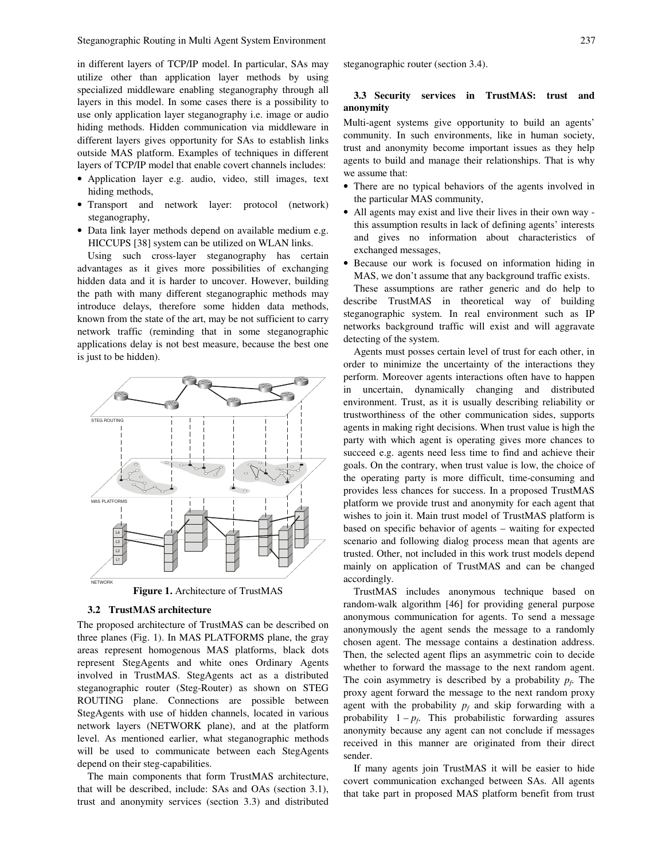in different layers of TCP/IP model. In particular, SAs may utilize other than application layer methods by using specialized middleware enabling steganography through all layers in this model. In some cases there is a possibility to use only application layer steganography i.e. image or audio hiding methods. Hidden communication via middleware in different layers gives opportunity for SAs to establish links outside MAS platform. Examples of techniques in different layers of TCP/IP model that enable covert channels includes:

- Application layer e.g. audio, video, still images, text hiding methods,
- Transport and network layer: protocol (network) steganography,
- Data link layer methods depend on available medium e.g. HICCUPS [38] system can be utilized on WLAN links.

Using such cross-layer steganography has certain advantages as it gives more possibilities of exchanging hidden data and it is harder to uncover. However, building the path with many different steganographic methods may introduce delays, therefore some hidden data methods, known from the state of the art, may be not sufficient to carry network traffic (reminding that in some steganographic applications delay is not best measure, because the best one is just to be hidden).



#### **3.2 TrustMAS architecture**

The proposed architecture of TrustMAS can be described on three planes (Fig. 1). In MAS PLATFORMS plane, the gray areas represent homogenous MAS platforms, black dots represent StegAgents and white ones Ordinary Agents involved in TrustMAS. StegAgents act as a distributed steganographic router (Steg-Router) as shown on STEG ROUTING plane. Connections are possible between StegAgents with use of hidden channels, located in various network layers (NETWORK plane), and at the platform level. As mentioned earlier, what steganographic methods will be used to communicate between each StegAgents depend on their steg-capabilities.

The main components that form TrustMAS architecture, that will be described, include: SAs and OAs (section 3.1), trust and anonymity services (section 3.3) and distributed steganographic router (section 3.4).

### **3.3 Security services in TrustMAS: trust and anonymity**

Multi-agent systems give opportunity to build an agents' community. In such environments, like in human society, trust and anonymity become important issues as they help agents to build and manage their relationships. That is why we assume that:

- There are no typical behaviors of the agents involved in the particular MAS community,
- All agents may exist and live their lives in their own way this assumption results in lack of defining agents' interests and gives no information about characteristics of exchanged messages,
- Because our work is focused on information hiding in MAS, we don't assume that any background traffic exists.

These assumptions are rather generic and do help to describe TrustMAS in theoretical way of building steganographic system. In real environment such as IP networks background traffic will exist and will aggravate detecting of the system.

Agents must posses certain level of trust for each other, in order to minimize the uncertainty of the interactions they perform. Moreover agents interactions often have to happen in uncertain, dynamically changing and distributed environment. Trust, as it is usually describing reliability or trustworthiness of the other communication sides, supports agents in making right decisions. When trust value is high the party with which agent is operating gives more chances to succeed e.g. agents need less time to find and achieve their goals. On the contrary, when trust value is low, the choice of the operating party is more difficult, time-consuming and provides less chances for success. In a proposed TrustMAS platform we provide trust and anonymity for each agent that wishes to join it. Main trust model of TrustMAS platform is based on specific behavior of agents – waiting for expected scenario and following dialog process mean that agents are trusted. Other, not included in this work trust models depend mainly on application of TrustMAS and can be changed accordingly.

TrustMAS includes anonymous technique based on random-walk algorithm [46] for providing general purpose anonymous communication for agents. To send a message anonymously the agent sends the message to a randomly chosen agent. The message contains a destination address. Then, the selected agent flips an asymmetric coin to decide whether to forward the massage to the next random agent. The coin asymmetry is described by a probability  $p_f$ . The proxy agent forward the message to the next random proxy agent with the probability  $p_f$  and skip forwarding with a probability  $1 - p_f$ . This probabilistic forwarding assures anonymity because any agent can not conclude if messages received in this manner are originated from their direct sender.

If many agents join TrustMAS it will be easier to hide covert communication exchanged between SAs. All agents that take part in proposed MAS platform benefit from trust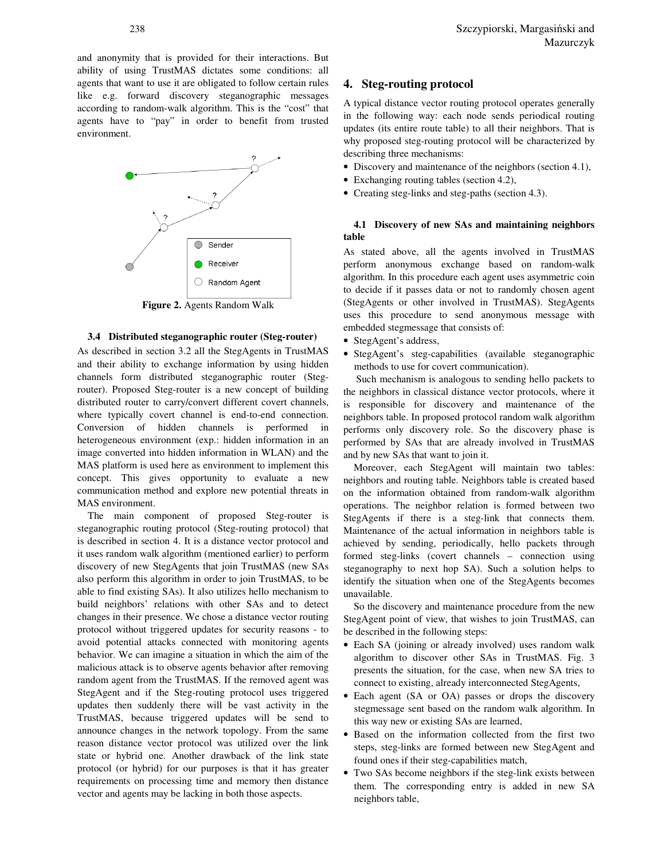and anonymity that is provided for their interactions. But ability of using TrustMAS dictates some conditions: all agents that want to use it are obligated to follow certain rules like e.g. forward discovery steganographic messages according to random-walk algorithm. This is the "cost" that agents have to "pay" in order to benefit from trusted environment.



**Figure 2.** Agents Random Walk

#### **3.4 Distributed steganographic router (Steg-router)**

As described in section 3.2 all the StegAgents in TrustMAS and their ability to exchange information by using hidden channels form distributed steganographic router (Stegrouter). Proposed Steg-router is a new concept of building distributed router to carry/convert different covert channels, where typically covert channel is end-to-end connection. Conversion of hidden channels is performed in heterogeneous environment (exp.: hidden information in an image converted into hidden information in WLAN) and the MAS platform is used here as environment to implement this concept. This gives opportunity to evaluate a new communication method and explore new potential threats in MAS environment.

The main component of proposed Steg-router is steganographic routing protocol (Steg-routing protocol) that is described in section 4. It is a distance vector protocol and it uses random walk algorithm (mentioned earlier) to perform discovery of new StegAgents that join TrustMAS (new SAs also perform this algorithm in order to join TrustMAS, to be able to find existing SAs). It also utilizes hello mechanism to build neighbors' relations with other SAs and to detect changes in their presence. We chose a distance vector routing protocol without triggered updates for security reasons - to avoid potential attacks connected with monitoring agents behavior. We can imagine a situation in which the aim of the malicious attack is to observe agents behavior after removing random agent from the TrustMAS. If the removed agent was StegAgent and if the Steg-routing protocol uses triggered updates then suddenly there will be vast activity in the TrustMAS, because triggered updates will be send to announce changes in the network topology. From the same reason distance vector protocol was utilized over the link state or hybrid one. Another drawback of the link state protocol (or hybrid) for our purposes is that it has greater requirements on processing time and memory then distance vector and agents may be lacking in both those aspects.

## **4. Steg-routing protocol**

A typical distance vector routing protocol operates generally in the following way: each node sends periodical routing updates (its entire route table) to all their neighbors. That is why proposed steg-routing protocol will be characterized by describing three mechanisms:

- Discovery and maintenance of the neighbors (section 4.1),
- Exchanging routing tables (section 4.2),
- Creating steg-links and steg-paths (section 4.3).

## **4.1 Discovery of new SAs and maintaining neighbors table**

As stated above, all the agents involved in TrustMAS perform anonymous exchange based on random-walk algorithm. In this procedure each agent uses asymmetric coin to decide if it passes data or not to randomly chosen agent (StegAgents or other involved in TrustMAS). StegAgents uses this procedure to send anonymous message with embedded stegmessage that consists of:

- StegAgent's address,
- StegAgent's steg-capabilities (available steganographic methods to use for covert communication).

 Such mechanism is analogous to sending hello packets to the neighbors in classical distance vector protocols, where it is responsible for discovery and maintenance of the neighbors table. In proposed protocol random walk algorithm performs only discovery role. So the discovery phase is performed by SAs that are already involved in TrustMAS and by new SAs that want to join it.

Moreover, each StegAgent will maintain two tables: neighbors and routing table. Neighbors table is created based on the information obtained from random-walk algorithm operations. The neighbor relation is formed between two StegAgents if there is a steg-link that connects them. Maintenance of the actual information in neighbors table is achieved by sending, periodically, hello packets through formed steg-links (covert channels – connection using steganography to next hop SA). Such a solution helps to identify the situation when one of the StegAgents becomes unavailable.

So the discovery and maintenance procedure from the new StegAgent point of view, that wishes to join TrustMAS, can be described in the following steps:

- Each SA (joining or already involved) uses random walk algorithm to discover other SAs in TrustMAS. Fig. 3 presents the situation, for the case, when new SA tries to connect to existing, already interconnected StegAgents,
- Each agent (SA or OA) passes or drops the discovery stegmessage sent based on the random walk algorithm. In this way new or existing SAs are learned,
- Based on the information collected from the first two steps, steg-links are formed between new StegAgent and found ones if their steg-capabilities match,
- Two SAs become neighbors if the steg-link exists between them. The corresponding entry is added in new SA neighbors table,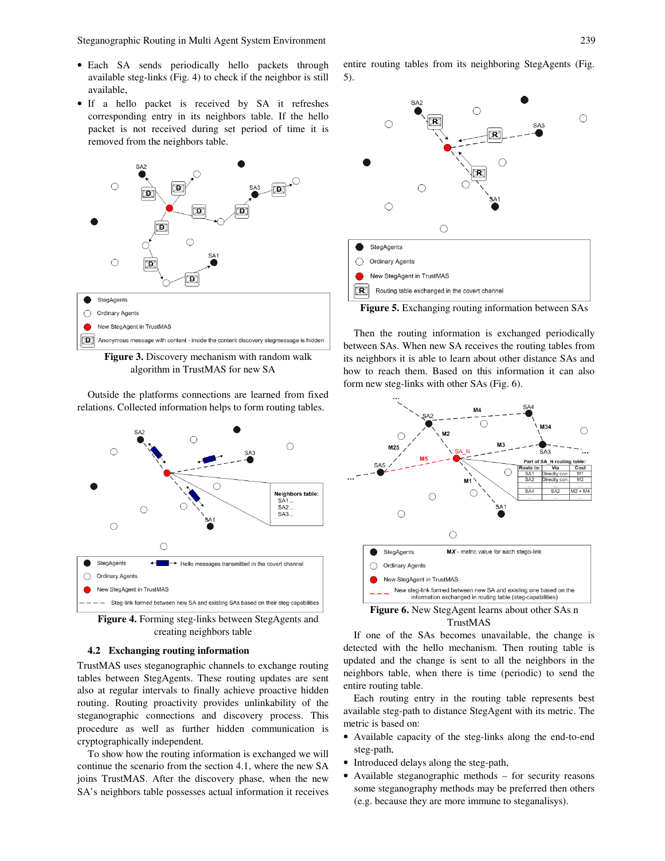Steganographic Routing in Multi Agent System Environment 239

- Each SA sends periodically hello packets through available steg-links (Fig. 4) to check if the neighbor is still available,
- If a hello packet is received by SA it refreshes corresponding entry in its neighbors table. If the hello packet is not received during set period of time it is removed from the neighbors table.



**Figure 3.** Discovery mechanism with random walk algorithm in TrustMAS for new SA

Outside the platforms connections are learned from fixed relations. Collected information helps to form routing tables.



**Figure 4.** Forming steg-links between StegAgents and creating neighbors table

#### **4.2 Exchanging routing information**

TrustMAS uses steganographic channels to exchange routing tables between StegAgents. These routing updates are sent also at regular intervals to finally achieve proactive hidden routing. Routing proactivity provides unlinkability of the steganographic connections and discovery process. This procedure as well as further hidden communication is cryptographically independent.

To show how the routing information is exchanged we will continue the scenario from the section 4.1, where the new SA joins TrustMAS. After the discovery phase, when the new SA's neighbors table possesses actual information it receives entire routing tables from its neighboring StegAgents (Fig. 5).



**Figure 5.** Exchanging routing information between SAs

Then the routing information is exchanged periodically between SAs. When new SA receives the routing tables from its neighbors it is able to learn about other distance SAs and how to reach them. Based on this information it can also form new steg-links with other SAs (Fig. 6).



TrustMAS

If one of the SAs becomes unavailable, the change is detected with the hello mechanism. Then routing table is updated and the change is sent to all the neighbors in the neighbors table, when there is time (periodic) to send the entire routing table.

Each routing entry in the routing table represents best available steg-path to distance StegAgent with its metric. The metric is based on:

- Available capacity of the steg-links along the end-to-end steg-path,
- Introduced delays along the steg-path,
- Available steganographic methods for security reasons some steganography methods may be preferred then others (e.g. because they are more immune to steganalisys).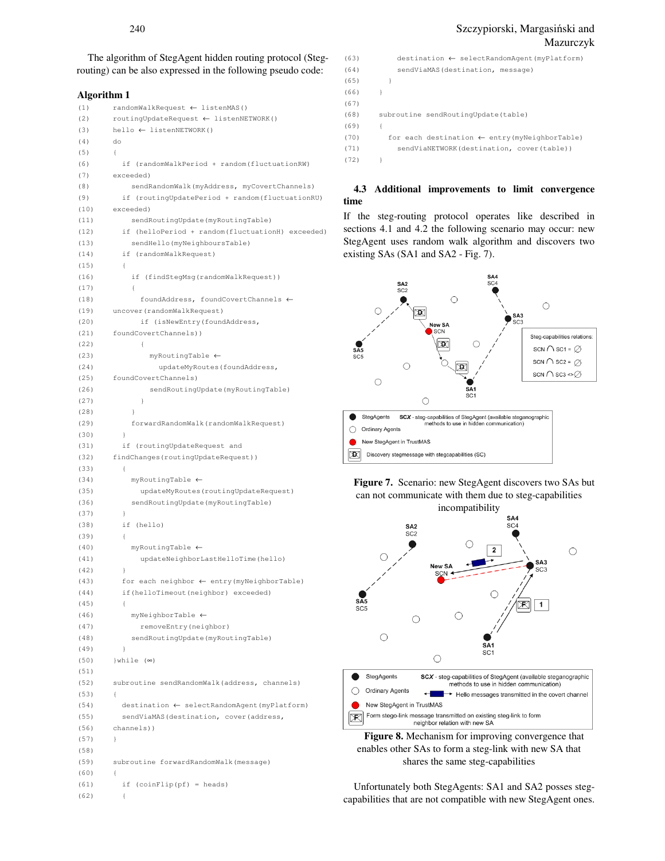240 Szczypiorski, Margasiński and Mazurczyk

The algorithm of StegAgent hidden routing protocol (Stegrouting) can be also expressed in the following pseudo code:

#### **Algorithm 1**

```
(1) 
(2) 
(3) 
(4) 
(5) 
(6) 
(7) 
(8) 
(9) 
(10) 
(11) 
(12) 
(13) 
(14) 
(15) 
(16) 
(17) 
(18) 
(19) 
(20) 
(21) 
(22) 
(23) 
(24) 
(25) 
(26) 
(27) 
(28) 
(29) 
(30) 
(31) 
(32) 
(33) 
(34) 
(35) 
(36) 
(37) 
(38) 
(39) 
(40) 
(41) 
(42) 
(43) 
(44) 
(45) 
(46) 
(47) 
(48) 
(49) 
(50) 
(51) 
(52) 
(53) 
(54) 
(55) 
(56) 
(57) 
(58) 
(59) 
(60) 
(61) 
(62) 
         randomWalkRequest ← listenMAS() 
         routingUpdateRequest ← listenNETWORK() 
         hello ← listenNETWORK() 
         do 
         { 
             if (randomWalkPeriod + random(fluctuationRW) 
         exceeded) 
               sendRandomWalk(myAddress, myCovertChannels) 
             if (routingUpdatePeriod + random(fluctuationRU) 
         exceeded) 
               sendRoutingUpdate(myRoutingTable) 
             if (helloPeriod + random(fluctuationH) exceeded) 
               sendHello(myNeighboursTable) 
             if (randomWalkRequest) 
             { 
               if (findStegMsg(randomWalkRequest)) 
               { 
                 foundAddress, foundCovertChannels ← 
         uncover(randomWalkRequest) 
                 if (isNewEntry(foundAddress, 
         foundCovertChannels)) 
                 { 
                    myRoutingTable ← 
                      updateMyRoutes(foundAddress, 
         foundCovertChannels) 
                    sendRoutingUpdate(myRoutingTable) 
         \longrightarrow } 
               forwardRandomWalk(randomWalkRequest) 
          } 
             if (routingUpdateRequest and 
         findChanges(routingUpdateRequest)) 
             { 
               myRoutingTable ←
                 updateMyRoutes(routingUpdateRequest) 
               sendRoutingUpdate(myRoutingTable) 
          } 
             if (hello) 
             { 
               myRoutingTable ←
                 updateNeighborLastHelloTime(hello) 
          } 
             for each neighbor ← entry(myNeighborTable) 
             if(helloTimeout(neighbor) exceeded) 
             { 
               myNeighborTable ←
                 removeEntry(neighbor) 
               sendRoutingUpdate(myRoutingTable) 
             } 
         }while (∞) 
         subroutine sendRandomWalk(address, channels) 
         { 
             destination ← selectRandomAgent(myPlatform) 
            sendViaMAS(destination, cover(address,
         channels)) 
         } 
         subroutine forwardRandomWalk(message) 
         { 
             if (coinFlip(pf) = heads) 
         \leftarrow
```

```
(63) 
(64) 
(65) 
(66) 
(67) 
(68) 
(69) 
(70) 
(71) 
(72) 
               destination ← selectRandomAgent(myPlatform) 
               sendViaMAS(destination, message) 
         \rightarrow} 
         subroutine sendRoutingUpdate(table) 
         { 
             for each destination ← entry(myNeighborTable) 
               sendViaNETWORK(destination, cover(table)) 
         }
```
## **4.3 Additional improvements to limit convergence time**

If the steg-routing protocol operates like described in sections 4.1 and 4.2 the following scenario may occur: new StegAgent uses random walk algorithm and discovers two existing SAs (SA1 and SA2 - Fig. 7).







**Figure 8.** Mechanism for improving convergence that enables other SAs to form a steg-link with new SA that shares the same steg-capabilities

Unfortunately both StegAgents: SA1 and SA2 posses stegcapabilities that are not compatible with new StegAgent ones.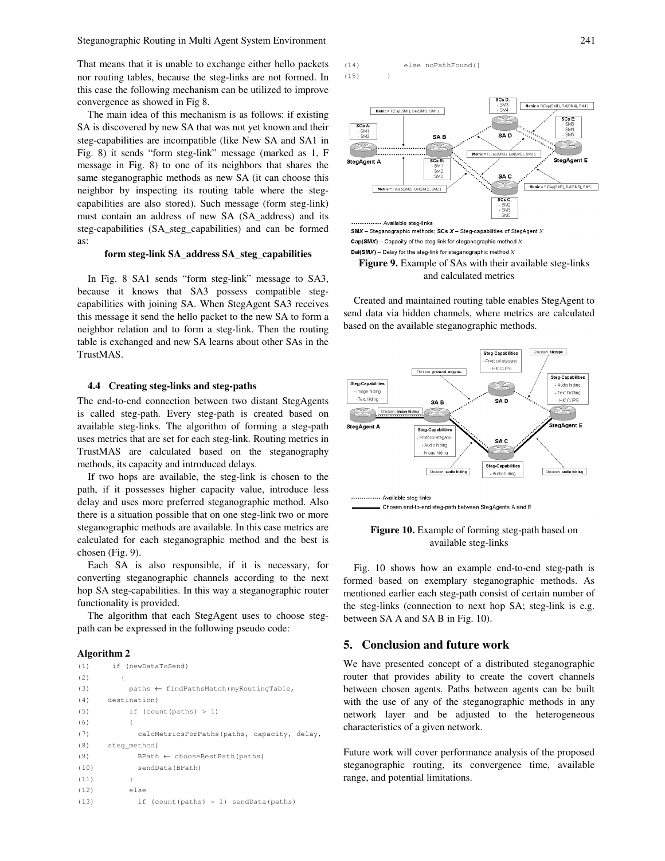Steganographic Routing in Multi Agent System Environment 241

That means that it is unable to exchange either hello packets nor routing tables, because the steg-links are not formed. In this case the following mechanism can be utilized to improve convergence as showed in Fig 8.

The main idea of this mechanism is as follows: if existing SA is discovered by new SA that was not yet known and their steg-capabilities are incompatible (like New SA and SA1 in Fig. 8) it sends "form steg-link" message (marked as 1, F message in Fig. 8) to one of its neighbors that shares the same steganographic methods as new SA (it can choose this neighbor by inspecting its routing table where the stegcapabilities are also stored). Such message (form steg-link) must contain an address of new SA (SA\_address) and its steg-capabilities (SA\_steg\_capabilities) and can be formed as:

#### **form steg-link SA\_address SA\_steg\_capabilities**

In Fig. 8 SA1 sends "form steg-link" message to SA3, because it knows that SA3 possess compatible stegcapabilities with joining SA. When StegAgent SA3 receives this message it send the hello packet to the new SA to form a neighbor relation and to form a steg-link. Then the routing table is exchanged and new SA learns about other SAs in the TrustMAS.

#### **4.4 Creating steg-links and steg-paths**

The end-to-end connection between two distant StegAgents is called steg-path. Every steg-path is created based on available steg-links. The algorithm of forming a steg-path uses metrics that are set for each steg-link. Routing metrics in TrustMAS are calculated based on the steganography methods, its capacity and introduced delays.

If two hops are available, the steg-link is chosen to the path, if it possesses higher capacity value, introduce less delay and uses more preferred steganographic method. Also there is a situation possible that on one steg-link two or more steganographic methods are available. In this case metrics are calculated for each steganographic method and the best is chosen (Fig. 9).

Each SA is also responsible, if it is necessary, for converting steganographic channels according to the next hop SA steg-capabilities. In this way a steganographic router functionality is provided.

The algorithm that each StegAgent uses to choose stegpath can be expressed in the following pseudo code:

#### **Algorithm 2**

```
(1) 
(2) 
(3) 
(4) 
(5) 
(6) 
(7) 
(8) 
(9) 
(10) 
(11) 
(12) 
(13) 
          if (newDataToSend) 
            { 
               paths ← findPathsMatch(myRoutingTable, 
        destination) 
               if (count(paths) > 1) 
        \{ calcMetricsForPaths(paths, capacity, delay, 
        steg_method) 
                 BPath ← chooseBestPath(paths) 
                 sendData(BPath) 
               } 
               else 
                 if (count(paths) = 1) sendData(paths)
```




 $Cap(SMX)$  - Capacity of the steg-link for steganographic method  $X$ Del(SMX) - Delay for the steg-link for steganographic method  $X$ **Figure 9.** Example of SAs with their available steg-links and calculated metrics

Created and maintained routing table enables StegAgent to send data via hidden channels, where metrics are calculated based on the available steganographic methods.





Fig. 10 shows how an example end-to-end steg-path is formed based on exemplary steganographic methods. As mentioned earlier each steg-path consist of certain number of the steg-links (connection to next hop SA; steg-link is e.g. between SA A and SA B in Fig. 10).

## **5. Conclusion and future work**

We have presented concept of a distributed steganographic router that provides ability to create the covert channels between chosen agents. Paths between agents can be built with the use of any of the steganographic methods in any network layer and be adjusted to the heterogeneous characteristics of a given network.

Future work will cover performance analysis of the proposed steganographic routing, its convergence time, available range, and potential limitations.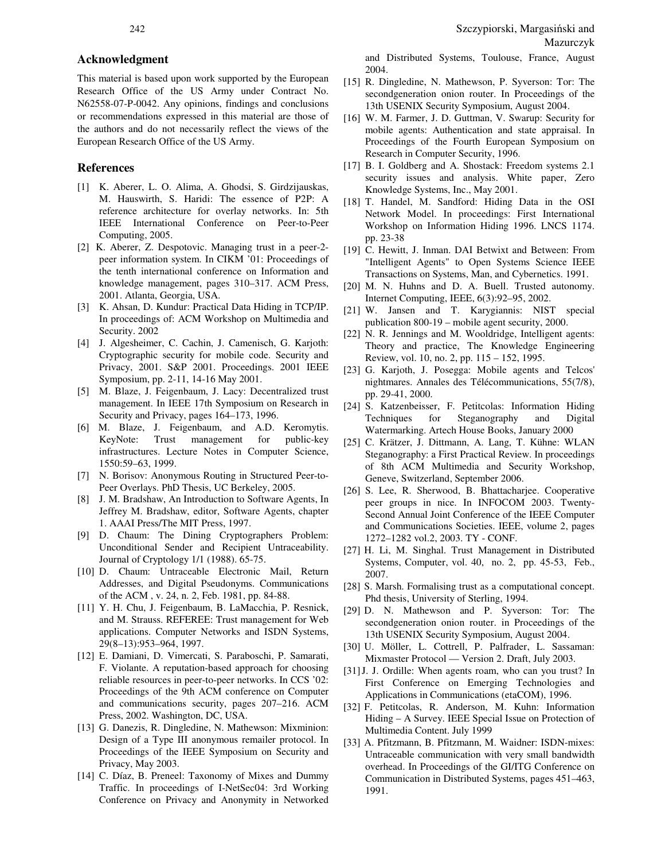# **Acknowledgment**

This material is based upon work supported by the European Research Office of the US Army under Contract No. N62558-07-P-0042. Any opinions, findings and conclusions or recommendations expressed in this material are those of the authors and do not necessarily reflect the views of the European Research Office of the US Army.

## **References**

- [1] K. Aberer, L. O. Alima, A. Ghodsi, S. Girdzijauskas, M. Hauswirth, S. Haridi: The essence of P2P: A reference architecture for overlay networks. In: 5th IEEE International Conference on Peer-to-Peer Computing, 2005.
- [2] K. Aberer, Z. Despotovic. Managing trust in a peer-2 peer information system. In CIKM '01: Proceedings of the tenth international conference on Information and knowledge management, pages 310–317. ACM Press, 2001. Atlanta, Georgia, USA.
- [3] K. Ahsan, D. Kundur: Practical Data Hiding in TCP/IP. In proceedings of: ACM Workshop on Multimedia and Security. 2002
- [4] J. Algesheimer, C. Cachin, J. Camenisch, G. Karjoth: Cryptographic security for mobile code. Security and Privacy, 2001. S&P 2001. Proceedings. 2001 IEEE Symposium, pp. 2-11, 14-16 May 2001.
- [5] M. Blaze, J. Feigenbaum, J. Lacy: Decentralized trust management. In IEEE 17th Symposium on Research in Security and Privacy, pages 164–173, 1996.
- [6] M. Blaze, J. Feigenbaum, and A.D. Keromytis. KeyNote: Trust management for public-key infrastructures. Lecture Notes in Computer Science, 1550:59–63, 1999.
- [7] N. Borisov: Anonymous Routing in Structured Peer-to-Peer Overlays. PhD Thesis, UC Berkeley, 2005.
- [8] J. M. Bradshaw, An Introduction to Software Agents, In Jeffrey M. Bradshaw, editor, Software Agents, chapter 1. AAAI Press/The MIT Press, 1997.
- [9] D. Chaum: The Dining Cryptographers Problem: Unconditional Sender and Recipient Untraceability. Journal of Cryptology 1/1 (1988). 65-75.
- [10] D. Chaum: Untraceable Electronic Mail, Return Addresses, and Digital Pseudonyms. Communications of the ACM , v. 24, n. 2, Feb. 1981, pp. 84-88.
- [11] Y. H. Chu, J. Feigenbaum, B. LaMacchia, P. Resnick, and M. Strauss. REFEREE: Trust management for Web applications. Computer Networks and ISDN Systems, 29(8–13):953–964, 1997.
- [12] E. Damiani, D. Vimercati, S. Paraboschi, P. Samarati, F. Violante. A reputation-based approach for choosing reliable resources in peer-to-peer networks. In CCS '02: Proceedings of the 9th ACM conference on Computer and communications security, pages 207–216. ACM Press, 2002. Washington, DC, USA.
- [13] G. Danezis, R. Dingledine, N. Mathewson: Mixminion: Design of a Type III anonymous remailer protocol. In Proceedings of the IEEE Symposium on Security and Privacy, May 2003.
- [14] C. Díaz, B. Preneel: Taxonomy of Mixes and Dummy Traffic. In proceedings of I-NetSec04: 3rd Working Conference on Privacy and Anonymity in Networked

and Distributed Systems, Toulouse, France, August 2004.

- [15] R. Dingledine, N. Mathewson, P. Syverson: Tor: The secondgeneration onion router. In Proceedings of the 13th USENIX Security Symposium, August 2004.
- [16] W. M. Farmer, J. D. Guttman, V. Swarup: Security for mobile agents: Authentication and state appraisal. In Proceedings of the Fourth European Symposium on Research in Computer Security, 1996.
- [17] B. I. Goldberg and A. Shostack: Freedom systems 2.1 security issues and analysis. White paper, Zero Knowledge Systems, Inc., May 2001.
- [18] T. Handel, M. Sandford: Hiding Data in the OSI Network Model. In proceedings: First International Workshop on Information Hiding 1996. LNCS 1174. pp. 23-38
- [19] C. Hewitt, J. Inman. DAI Betwixt and Between: From "Intelligent Agents" to Open Systems Science IEEE Transactions on Systems, Man, and Cybernetics. 1991.
- [20] M. N. Huhns and D. A. Buell. Trusted autonomy. Internet Computing, IEEE, 6(3):92–95, 2002.
- [21] W. Jansen and T. Karygiannis: NIST special publication 800-19 – mobile agent security, 2000.
- [22] N. R. Jennings and M. Wooldridge, Intelligent agents: Theory and practice, The Knowledge Engineering Review, vol. 10, no. 2, pp. 115 – 152, 1995.
- [23] G. Karjoth, J. Posegga: Mobile agents and Telcos' nightmares. Annales des Télécommunications, 55(7/8), pp. 29-41, 2000.
- [24] S. Katzenbeisser, F. Petitcolas: Information Hiding Techniques for Steganography and Digital Watermarking. Artech House Books, January 2000
- [25] C. Krätzer, J. Dittmann, A. Lang, T. Kühne: WLAN Steganography: a First Practical Review. In proceedings of 8th ACM Multimedia and Security Workshop, Geneve, Switzerland, September 2006.
- [26] S. Lee, R. Sherwood, B. Bhattacharjee. Cooperative peer groups in nice. In INFOCOM 2003. Twenty-Second Annual Joint Conference of the IEEE Computer and Communications Societies. IEEE, volume 2, pages 1272–1282 vol.2, 2003. TY - CONF.
- [27] H. Li, M. Singhal. Trust Management in Distributed Systems, Computer, vol. 40, no. 2, pp. 45-53, Feb., 2007.
- [28] S. Marsh. Formalising trust as a computational concept. Phd thesis, University of Sterling, 1994.
- [29] D. N. Mathewson and P. Syverson: Tor: The secondgeneration onion router. in Proceedings of the 13th USENIX Security Symposium, August 2004.
- [30] U. Möller, L. Cottrell, P. Palfrader, L. Sassaman: Mixmaster Protocol — Version 2. Draft, July 2003.
- [31]J. J. Ordille: When agents roam, who can you trust? In First Conference on Emerging Technologies and Applications in Communications (etaCOM), 1996.
- [32] F. Petitcolas, R. Anderson, M. Kuhn: Information Hiding – A Survey. IEEE Special Issue on Protection of Multimedia Content. July 1999
- [33] A. Pfitzmann, B. Pfitzmann, M. Waidner: ISDN-mixes: Untraceable communication with very small bandwidth overhead. In Proceedings of the GI/ITG Conference on Communication in Distributed Systems, pages 451–463, 1991.